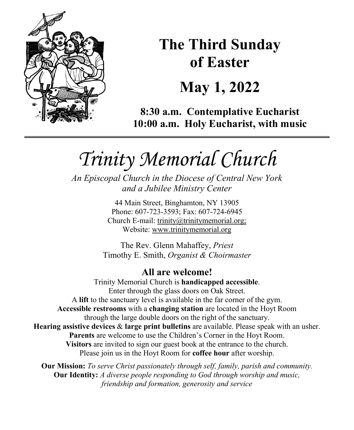

# **The Third Sunday of Easter**

# **May 1, 2022**

**8:30 a.m. Contemplative Eucharist 10:00 a.m. Holy Eucharist, with music**

*Trinity Memorial Church*

*An Episcopal Church in the Diocese of Central New York and a Jubilee Ministry Center*

> 44 Main Street, Binghamton, NY 13905 Phone: 607-723-3593; Fax: 607-724-6945 Church E-mail: trinity@trinitymemorial.org; Website: www.trinitymemorial.org

The Rev. Glenn Mahaffey, *Priest* Timothy E. Smith, *Organist & Choirmaster* 

#### **All are welcome!**

Trinity Memorial Church is **handicapped accessible**. Enter through the glass doors on Oak Street. A **lift** to the sanctuary level is available in the far corner of the gym. **Accessible restrooms** with a **changing station** are located in the Hoyt Room through the large double doors on the right of the sanctuary. **Hearing assistive devices** & **large print bulletins** are available. Please speak with an usher. **Parents** are welcome to use the Children's Corner in the Hoyt Room. **Visitors** are invited to sign our guest book at the entrance to the church. Please join us in the Hoyt Room for **coffee hour** after worship.

**Our Mission:** *To serve Christ passionately through self, family, parish and community.* **Our Identity:** *A diverse people responding to God through worship and music, friendship and formation, generosity and service*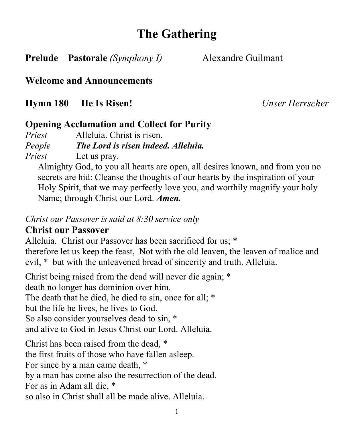# **The Gathering**

**Prelude Pastorale** *(Symphony I)* Alexandre Guilmant

#### **Welcome and Announcements**

## **Hymn 180 He Is Risen!** *Unser Herrscher*

# **Opening Acclamation and Collect for Purity**

*Priest* Alleluia. Christ is risen. *People The Lord is risen indeed. Alleluia.*

*Priest* Let us pray.

Almighty God, to you all hearts are open, all desires known, and from you no secrets are hid: Cleanse the thoughts of our hearts by the inspiration of your Holy Spirit, that we may perfectly love you, and worthily magnify your holy Name; through Christ our Lord. *Amen.*

*Christ our Passover is said at 8:30 service only*

# **Christ our Passover**

Alleluia. Christ our Passover has been sacrificed for us; \* therefore let us keep the feast, Not with the old leaven, the leaven of malice and evil, \* but with the unleavened bread of sincerity and truth. Alleluia.

Christ being raised from the dead will never die again; \* death no longer has dominion over him. The death that he died, he died to sin, once for all; \* but the life he lives, he lives to God. So also consider yourselves dead to sin, \* and alive to God in Jesus Christ our Lord. Alleluia.

Christ has been raised from the dead, \* the first fruits of those who have fallen asleep. For since by a man came death, \* by a man has come also the resurrection of the dead. For as in Adam all die, \* so also in Christ shall all be made alive. Alleluia.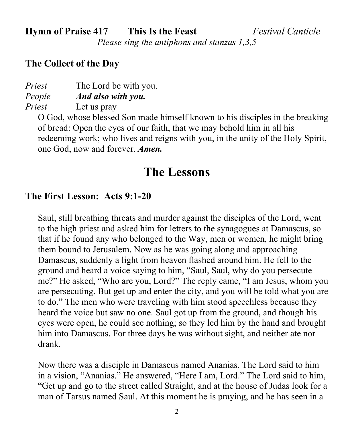#### **Hymn of Praise 417 This Is the Feast** *Festival Canticle*

*Please sing the antiphons and stanzas 1,3,5*

#### **The Collect of the Day**

| Priest | The Lord be with you.<br>And also with you. |  |  |
|--------|---------------------------------------------|--|--|
| People |                                             |  |  |
| Priest | Let us pray                                 |  |  |

O God, whose blessed Son made himself known to his disciples in the breaking of bread: Open the eyes of our faith, that we may behold him in all his redeeming work; who lives and reigns with you, in the unity of the Holy Spirit, one God, now and forever. *Amen.*

# **The Lessons**

# **The First Lesson: Acts 9:1-20**

Saul, still breathing threats and murder against the disciples of the Lord, went to the high priest and asked him for letters to the synagogues at Damascus, so that if he found any who belonged to the Way, men or women, he might bring them bound to Jerusalem. Now as he was going along and approaching Damascus, suddenly a light from heaven flashed around him. He fell to the ground and heard a voice saying to him, "Saul, Saul, why do you persecute me?" He asked, "Who are you, Lord?" The reply came, "I am Jesus, whom you are persecuting. But get up and enter the city, and you will be told what you are to do." The men who were traveling with him stood speechless because they heard the voice but saw no one. Saul got up from the ground, and though his eyes were open, he could see nothing; so they led him by the hand and brought him into Damascus. For three days he was without sight, and neither ate nor drank.

Now there was a disciple in Damascus named Ananias. The Lord said to him in a vision, "Ananias." He answered, "Here I am, Lord." The Lord said to him, "Get up and go to the street called Straight, and at the house of Judas look for a man of Tarsus named Saul. At this moment he is praying, and he has seen in a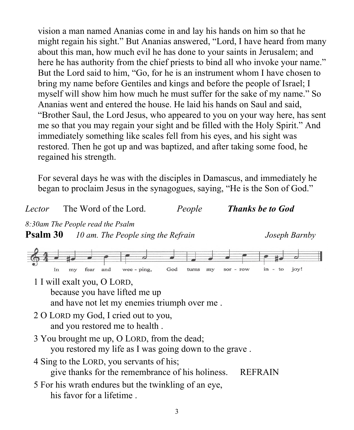vision a man named Ananias come in and lay his hands on him so that he might regain his sight." But Ananias answered, "Lord, I have heard from many about this man, how much evil he has done to your saints in Jerusalem; and here he has authority from the chief priests to bind all who invoke your name." But the Lord said to him, "Go, for he is an instrument whom I have chosen to bring my name before Gentiles and kings and before the people of Israel; I myself will show him how much he must suffer for the sake of my name." So Ananias went and entered the house. He laid his hands on Saul and said, "Brother Saul, the Lord Jesus, who appeared to you on your way here, has sent me so that you may regain your sight and be filled with the Holy Spirit." And immediately something like scales fell from his eyes, and his sight was restored. Then he got up and was baptized, and after taking some food, he regained his strength.

For several days he was with the disciples in Damascus, and immediately he began to proclaim Jesus in the synagogues, saying, "He is the Son of God."

*Lector* The Word of the Lord. *People Thanks be to God*

*8:30am The People read the Psalm* 

**Psalm 30** *10 am. The People sing the Refrain Joseph Barnby*



1 I will exalt you, O LORD,

because you have lifted me up

and have not let my enemies triumph over me .

2 O LORD my God, I cried out to you, and you restored me to health .

3 You brought me up, O LORD, from the dead; you restored my life as I was going down to the grave .

- 4 Sing to the LORD, you servants of his; give thanks for the remembrance of his holiness. REFRAIN
- 5 For his wrath endures but the twinkling of an eye, his favor for a lifetime .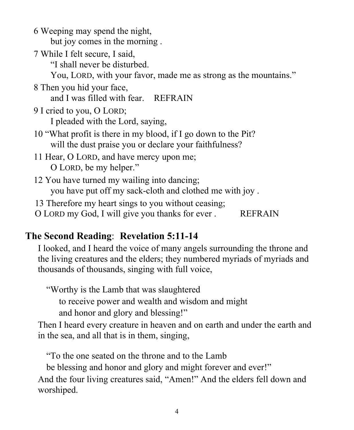6 Weeping may spend the night, but joy comes in the morning .

- 7 While I felt secure, I said, "I shall never be disturbed. You, LORD, with your favor, made me as strong as the mountains."
- 8 Then you hid your face, and I was filled with fear. REFRAIN
- 9 I cried to you, O LORD; I pleaded with the Lord, saying,
- 10 "What profit is there in my blood, if I go down to the Pit? will the dust praise you or declare your faithfulness?
- 11 Hear, O LORD, and have mercy upon me; O LORD, be my helper."
- 12 You have turned my wailing into dancing; you have put off my sack-cloth and clothed me with joy .
- 13 Therefore my heart sings to you without ceasing;

O LORD my God, I will give you thanks for ever . REFRAIN

# **The Second Reading**: **Revelation 5:11-14**

I looked, and I heard the voice of many angels surrounding the throne and the living creatures and the elders; they numbered myriads of myriads and thousands of thousands, singing with full voice,

"Worthy is the Lamb that was slaughtered

to receive power and wealth and wisdom and might

and honor and glory and blessing!"

Then I heard every creature in heaven and on earth and under the earth and in the sea, and all that is in them, singing,

"To the one seated on the throne and to the Lamb

be blessing and honor and glory and might forever and ever!"

And the four living creatures said, "Amen!" And the elders fell down and worshiped.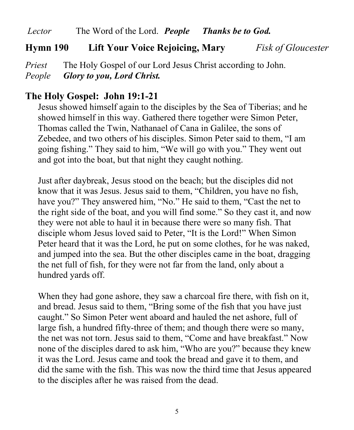#### *Lector* The Word of the Lord. *People Thanks be to God.*

# **Hymn 190 Lift Your Voice Rejoicing, Mary** *Fisk of Gloucester*

*Priest* The Holy Gospel of our Lord Jesus Christ according to John. *People Glory to you, Lord Christ.*

#### **The Holy Gospel: John 19:1-21**

Jesus showed himself again to the disciples by the Sea of Tiberias; and he showed himself in this way. Gathered there together were Simon Peter, Thomas called the Twin, Nathanael of Cana in Galilee, the sons of Zebedee, and two others of his disciples. Simon Peter said to them, "I am going fishing." They said to him, "We will go with you." They went out and got into the boat, but that night they caught nothing.

Just after daybreak, Jesus stood on the beach; but the disciples did not know that it was Jesus. Jesus said to them, "Children, you have no fish, have you?" They answered him, "No." He said to them, "Cast the net to the right side of the boat, and you will find some." So they cast it, and now they were not able to haul it in because there were so many fish. That disciple whom Jesus loved said to Peter, "It is the Lord!" When Simon Peter heard that it was the Lord, he put on some clothes, for he was naked, and jumped into the sea. But the other disciples came in the boat, dragging the net full of fish, for they were not far from the land, only about a hundred yards off.

When they had gone ashore, they saw a charcoal fire there, with fish on it, and bread. Jesus said to them, "Bring some of the fish that you have just caught." So Simon Peter went aboard and hauled the net ashore, full of large fish, a hundred fifty-three of them; and though there were so many, the net was not torn. Jesus said to them, "Come and have breakfast." Now none of the disciples dared to ask him, "Who are you?" because they knew it was the Lord. Jesus came and took the bread and gave it to them, and did the same with the fish. This was now the third time that Jesus appeared to the disciples after he was raised from the dead.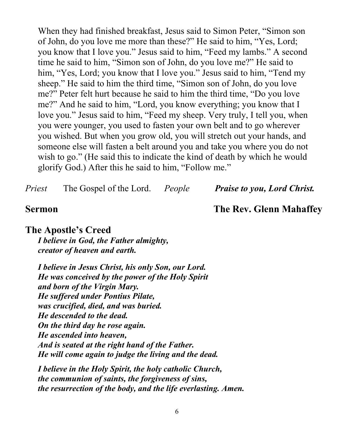When they had finished breakfast, Jesus said to Simon Peter, "Simon son of John, do you love me more than these?" He said to him, "Yes, Lord; you know that I love you." Jesus said to him, "Feed my lambs." A second time he said to him, "Simon son of John, do you love me?" He said to him, "Yes, Lord; you know that I love you." Jesus said to him, "Tend my sheep." He said to him the third time, "Simon son of John, do you love me?" Peter felt hurt because he said to him the third time, "Do you love me?" And he said to him, "Lord, you know everything; you know that I love you." Jesus said to him, "Feed my sheep. Very truly, I tell you, when you were younger, you used to fasten your own belt and to go wherever you wished. But when you grow old, you will stretch out your hands, and someone else will fasten a belt around you and take you where you do not wish to go." (He said this to indicate the kind of death by which he would glorify God.) After this he said to him, "Follow me."

*Priest* The Gospel of the Lord. *People Praise to you, Lord Christ.*

#### **Sermon The Rev. Glenn Mahaffey**

#### **The Apostle's Creed**

*I believe in God, the Father almighty, creator of heaven and earth.*

*I believe in Jesus Christ, his only Son, our Lord. He was conceived by the power of the Holy Spirit and born of the Virgin Mary. He suffered under Pontius Pilate, was crucified, died, and was buried. He descended to the dead. On the third day he rose again. He ascended into heaven, And is seated at the right hand of the Father. He will come again to judge the living and the dead.*

*I believe in the Holy Spirit, the holy catholic Church, the communion of saints, the forgiveness of sins, the resurrection of the body, and the life everlasting. Amen.*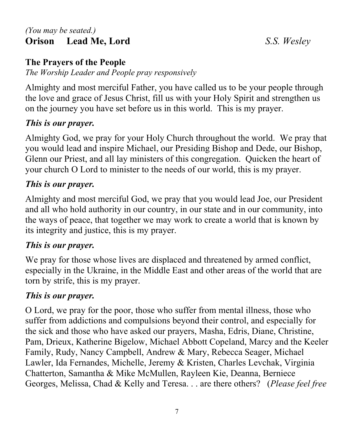#### *(You may be seated.)* **Orison Lead Me, Lord** *S.S. Wesley*

#### **The Prayers of the People**

*The Worship Leader and People pray responsively*

Almighty and most merciful Father, you have called us to be your people through the love and grace of Jesus Christ, fill us with your Holy Spirit and strengthen us on the journey you have set before us in this world. This is my prayer.

# *This is our prayer.*

Almighty God, we pray for your Holy Church throughout the world. We pray that you would lead and inspire Michael, our Presiding Bishop and Dede, our Bishop, Glenn our Priest, and all lay ministers of this congregation. Quicken the heart of your church O Lord to minister to the needs of our world, this is my prayer.

## *This is our prayer.*

Almighty and most merciful God, we pray that you would lead Joe, our President and all who hold authority in our country, in our state and in our community, into the ways of peace, that together we may work to create a world that is known by its integrity and justice, this is my prayer.

#### *This is our prayer.*

We pray for those whose lives are displaced and threatened by armed conflict, especially in the Ukraine, in the Middle East and other areas of the world that are torn by strife, this is my prayer.

# *This is our prayer.*

O Lord, we pray for the poor, those who suffer from mental illness, those who suffer from addictions and compulsions beyond their control, and especially for the sick and those who have asked our prayers, Masha, Edris, Diane, Christine, Pam, Drieux, Katherine Bigelow, Michael Abbott Copeland, Marcy and the Keeler Family, Rudy, Nancy Campbell, Andrew & Mary, Rebecca Seager, Michael Lawler, Ida Fernandes, Michelle, Jeremy & Kristen, Charles Levchak, Virginia Chatterton, Samantha & Mike McMullen, Rayleen Kie, Deanna, Berniece Georges, Melissa, Chad & Kelly and Teresa. . . are there others? (*Please feel free*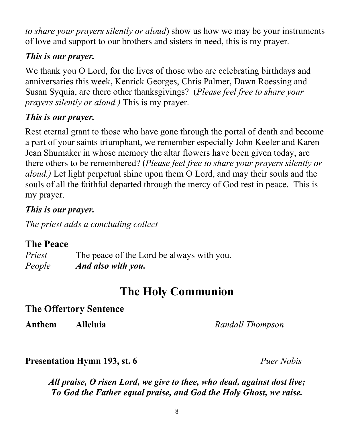*to share your prayers silently or aloud*) show us how we may be your instruments of love and support to our brothers and sisters in need, this is my prayer.

#### *This is our prayer.*

We thank you O Lord, for the lives of those who are celebrating birthdays and anniversaries this week, Kenrick Georges, Chris Palmer, Dawn Roessing and Susan Syquia, are there other thanksgivings? (*Please feel free to share your prayers silently or aloud.)* This is my prayer.

## *This is our prayer.*

Rest eternal grant to those who have gone through the portal of death and become a part of your saints triumphant, we remember especially John Keeler and Karen Jean Shumaker in whose memory the altar flowers have been given today, are there others to be remembered? (*Please feel free to share your prayers silently or aloud.)* Let light perpetual shine upon them O Lord, and may their souls and the souls of all the faithful departed through the mercy of God rest in peace. This is my prayer.

#### *This is our prayer.*

*The priest adds a concluding collect* 

# **The Peace**

*Priest* The peace of the Lord be always with you. *People And also with you.*

# **The Holy Communion**

#### **The Offertory Sentence**

**Anthem Alleluia** *Randall Thompson*

#### **Presentation Hymn 193, st. 6** *Puer Nobis*

*All praise, O risen Lord, we give to thee, who dead, against dost live; To God the Father equal praise, and God the Holy Ghost, we raise.*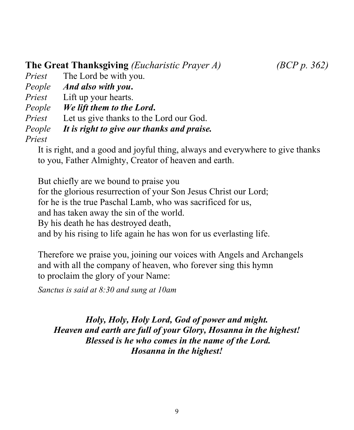# **The Great Thanksgiving** *(Eucharistic Prayer A) (BCP p. 362)*

*Priest* The Lord be with you.

*People And also with you***.**

*Priest* Lift up your hearts.

*People We lift them to the Lord***.**

*Priest* Let us give thanks to the Lord our God.

*People It is right to give our thanks and praise.*

*Priest*

It is right, and a good and joyful thing, always and everywhere to give thanks to you, Father Almighty, Creator of heaven and earth.

But chiefly are we bound to praise you

for the glorious resurrection of your Son Jesus Christ our Lord;

for he is the true Paschal Lamb, who was sacrificed for us,

and has taken away the sin of the world.

By his death he has destroyed death,

and by his rising to life again he has won for us everlasting life.

Therefore we praise you, joining our voices with Angels and Archangels and with all the company of heaven, who forever sing this hymn to proclaim the glory of your Name:

*Sanctus is said at 8:30 and sung at 10am*

*Holy, Holy, Holy Lord, God of power and might. Heaven and earth are full of your Glory, Hosanna in the highest! Blessed is he who comes in the name of the Lord. Hosanna in the highest!*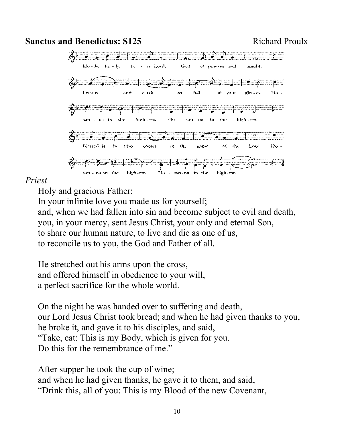#### **Sanctus and Benedictus: S125** Richard Proulx



#### *Priest*

Holy and gracious Father:

In your infinite love you made us for yourself; and, when we had fallen into sin and become subject to evil and death, you, in your mercy, sent Jesus Christ, your only and eternal Son, to share our human nature, to live and die as one of us, to reconcile us to you, the God and Father of all.

He stretched out his arms upon the cross, and offered himself in obedience to your will, a perfect sacrifice for the whole world.

On the night he was handed over to suffering and death, our Lord Jesus Christ took bread; and when he had given thanks to you, he broke it, and gave it to his disciples, and said, "Take, eat: This is my Body, which is given for you. Do this for the remembrance of me."

After supper he took the cup of wine; and when he had given thanks, he gave it to them, and said, "Drink this, all of you: This is my Blood of the new Covenant,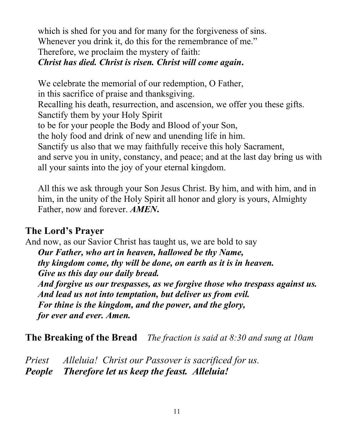which is shed for you and for many for the forgiveness of sins. Whenever you drink it, do this for the remembrance of me." Therefore, we proclaim the mystery of faith: *Christ has died. Christ is risen. Christ will come again***.**

We celebrate the memorial of our redemption, O Father, in this sacrifice of praise and thanksgiving. Recalling his death, resurrection, and ascension, we offer you these gifts. Sanctify them by your Holy Spirit to be for your people the Body and Blood of your Son, the holy food and drink of new and unending life in him. Sanctify us also that we may faithfully receive this holy Sacrament, and serve you in unity, constancy, and peace; and at the last day bring us with all your saints into the joy of your eternal kingdom.

All this we ask through your Son Jesus Christ. By him, and with him, and in him, in the unity of the Holy Spirit all honor and glory is yours, Almighty Father, now and forever. *AMEN***.**

#### **The Lord's Prayer**

And now, as our Savior Christ has taught us, we are bold to say *Our Father, who art in heaven, hallowed be thy Name, thy kingdom come, thy will be done, on earth as it is in heaven. Give us this day our daily bread.* 

*And forgive us our trespasses, as we forgive those who trespass against us. And lead us not into temptation, but deliver us from evil. For thine is the kingdom, and the power, and the glory, for ever and ever. Amen.*

**The Breaking of the Bread** *The fraction is said at 8:30 and sung at 10am*

*Priest Alleluia! Christ our Passover is sacrificed for us. People Therefore let us keep the feast. Alleluia!*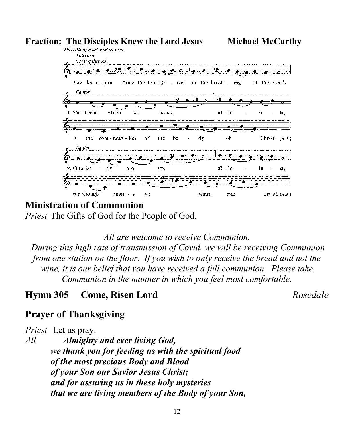

#### **Ministration of Communion**

*Priest* The Gifts of God for the People of God.

*All are welcome to receive Communion. During this high rate of transmission of Covid, we will be receiving Communion from one station on the floor. If you wish to only receive the bread and not the wine, it is our belief that you have received a full communion. Please take Communion in the manner in which you feel most comfortable.* 

#### **Hymn 305 Come, Risen Lord** *Rosedale*

#### **Prayer of Thanksgiving**

*Priest* Let us pray. *All Almighty and ever living God, we thank you for feeding us with the spiritual food of the most precious Body and Blood of your Son our Savior Jesus Christ; and for assuring us in these holy mysteries that we are living members of the Body of your Son,*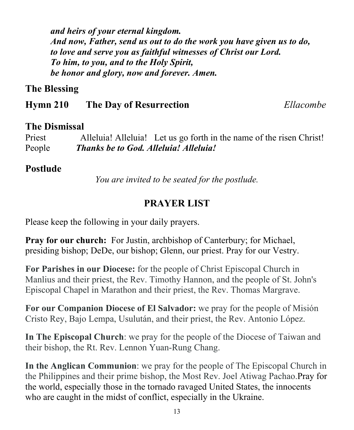*and heirs of your eternal kingdom. And now, Father, send us out to do the work you have given us to do, to love and serve you as faithful witnesses of Christ our Lord. To him, to you, and to the Holy Spirit, be honor and glory, now and forever. Amen.*

#### **The Blessing**

**Hymn 210 The Day of Resurrection** *Ellacombe*

#### **The Dismissal**

Priest Alleluia! Alleluia! Let us go forth in the name of the risen Christ! People *Thanks be to God. Alleluia! Alleluia!*

#### **Postlude**

*You are invited to be seated for the postlude.*

#### **PRAYER LIST**

Please keep the following in your daily prayers.

**Pray for our church:** For Justin, archbishop of Canterbury; for Michael, presiding bishop; DeDe, our bishop; Glenn, our priest. Pray for our Vestry.

**For Parishes in our Diocese:** for the people of Christ Episcopal Church in Manlius and their priest, the Rev. Timothy Hannon, and the people of St. John's Episcopal Chapel in Marathon and their priest, the Rev. Thomas Margrave.

**For our Companion Diocese of El Salvador:** we pray for the people of Misión Cristo Rey, Bajo Lempa, Usulután, and their priest, the Rev. Antonio López.

**In The Episcopal Church**: we pray for the people of the Diocese of Taiwan and their bishop, the Rt. Rev. Lennon Yuan-Rung Chang.

**In the Anglican Communion**: we pray for the people of The Episcopal Church in the Philippines and their prime bishop, the Most Rev. Joel Atiwag Pachao.Pray for the world, especially those in the tornado ravaged United States, the innocents who are caught in the midst of conflict, especially in the Ukraine.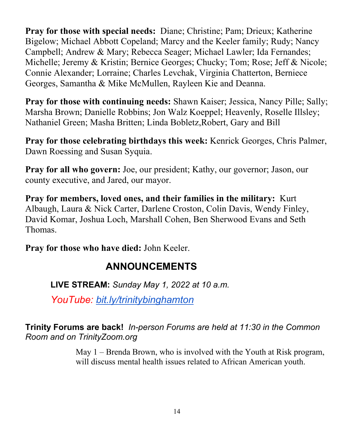**Pray for those with special needs:** Diane; Christine; Pam; Drieux; Katherine Bigelow; Michael Abbott Copeland; Marcy and the Keeler family; Rudy; Nancy Campbell; Andrew & Mary; Rebecca Seager; Michael Lawler; Ida Fernandes; Michelle; Jeremy & Kristin; Bernice Georges; Chucky; Tom; Rose; Jeff & Nicole; Connie Alexander; Lorraine; Charles Levchak, Virginia Chatterton, Berniece Georges, Samantha & Mike McMullen, Rayleen Kie and Deanna.

**Pray for those with continuing needs:** Shawn Kaiser; Jessica, Nancy Pille; Sally; Marsha Brown; Danielle Robbins; Jon Walz Koeppel; Heavenly, Roselle Illsley; Nathaniel Green; Masha Britten; Linda Bobletz,Robert, Gary and Bill

**Pray for those celebrating birthdays this week:** Kenrick Georges, Chris Palmer, Dawn Roessing and Susan Syquia.

Pray for all who govern: Joe, our president; Kathy, our governor; Jason, our county executive, and Jared, our mayor.

**Pray for members, loved ones, and their families in the military:** Kurt Albaugh, Laura & Nick Carter, Darlene Croston, Colin Davis, Wendy Finley, David Komar, Joshua Loch, Marshall Cohen, Ben Sherwood Evans and Seth Thomas.

**Pray for those who have died:** John Keeler.

# **ANNOUNCEMENTS**

**LIVE STREAM:** *Sunday May 1, 2022 at 10 a.m.* 

*YouTube: [bit.ly/trinitybinghamton](https://www.youtube.com/c/TrinityMemorialEpiscopalChurch)*

#### **Trinity Forums are back!** *In-person Forums are held at 11:30 in the Common Room and on TrinityZoom.org*

May 1 – Brenda Brown, who is involved with the Youth at Risk program, will discuss mental health issues related to African American youth.